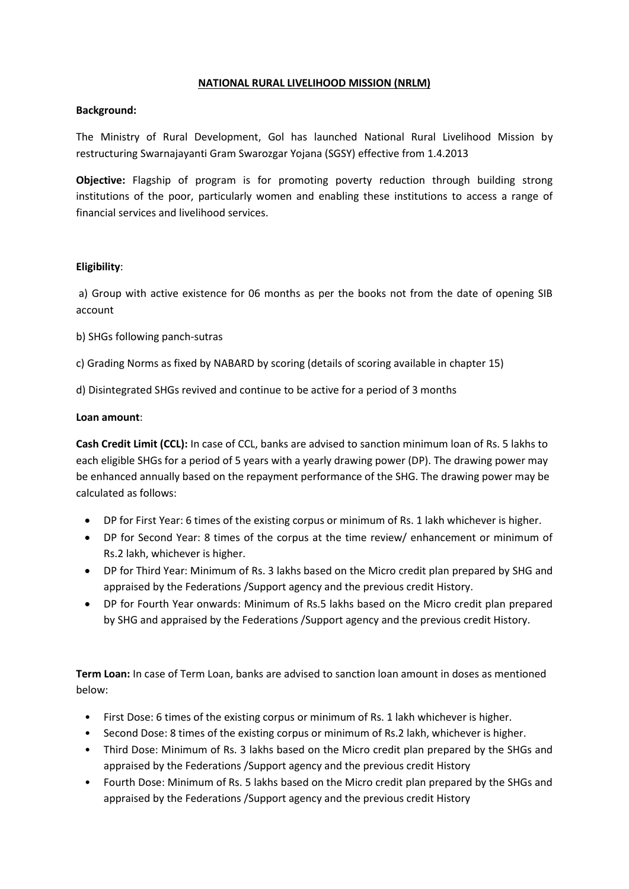# **NATIONAL RURAL LIVELIHOOD MISSION (NRLM)**

# **Background:**

The Ministry of Rural Development, Gol has launched National Rural Livelihood Mission by restructuring Swarnajayanti Gram Swarozgar Yojana (SGSY) effective from 1.4.2013

**Objective:** Flagship of program is for promoting poverty reduction through building strong institutions of the poor, particularly women and enabling these institutions to access a range of financial services and livelihood services.

# **Eligibility**:

a) Group with active existence for 06 months as per the books not from the date of opening SIB account

b) SHGs following panch-sutras

c) Grading Norms as fixed by NABARD by scoring (details of scoring available in chapter 15)

d) Disintegrated SHGs revived and continue to be active for a period of 3 months

#### **Loan amount**:

**Cash Credit Limit (CCL):** In case of CCL, banks are advised to sanction minimum loan of Rs. 5 lakhs to each eligible SHGs for a period of 5 years with a yearly drawing power (DP). The drawing power may be enhanced annually based on the repayment performance of the SHG. The drawing power may be calculated as follows:

- DP for First Year: 6 times of the existing corpus or minimum of Rs. 1 lakh whichever is higher.
- DP for Second Year: 8 times of the corpus at the time review/ enhancement or minimum of Rs.2 lakh, whichever is higher.
- DP for Third Year: Minimum of Rs. 3 lakhs based on the Micro credit plan prepared by SHG and appraised by the Federations /Support agency and the previous credit History.
- DP for Fourth Year onwards: Minimum of Rs.5 lakhs based on the Micro credit plan prepared by SHG and appraised by the Federations /Support agency and the previous credit History.

**Term Loan:** In case of Term Loan, banks are advised to sanction loan amount in doses as mentioned below:

- First Dose: 6 times of the existing corpus or minimum of Rs. 1 lakh whichever is higher.
- Second Dose: 8 times of the existing corpus or minimum of Rs.2 lakh, whichever is higher.
- Third Dose: Minimum of Rs. 3 lakhs based on the Micro credit plan prepared by the SHGs and appraised by the Federations /Support agency and the previous credit History
- Fourth Dose: Minimum of Rs. 5 lakhs based on the Micro credit plan prepared by the SHGs and appraised by the Federations /Support agency and the previous credit History